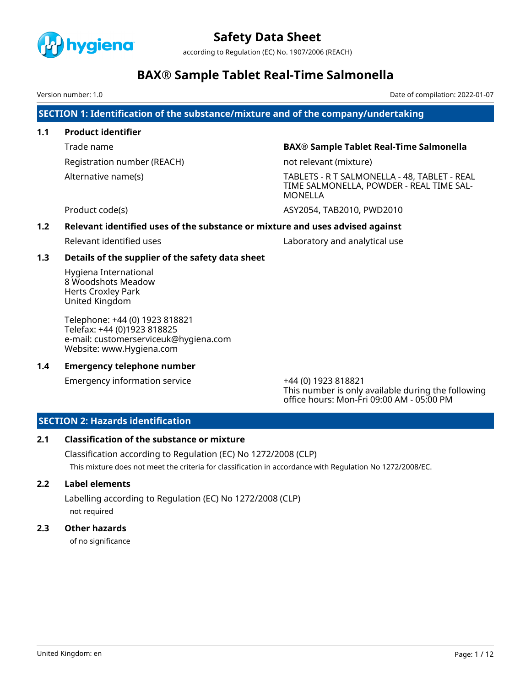

according to Regulation (EC) No. 1907/2006 (REACH)

# **BAX® Sample Tablet Real-Time Salmonella**

Version number: 1.0 Date of compilation: 2022-01-07

**SECTION 1: Identification of the substance/mixture and of the company/undertaking**

# **1.1 Product identifier**

Registration number (REACH) not relevant (mixture)

# Trade name **BAX® Sample Tablet Real-Time Salmonella**

Alternative name(s) TABLETS - R T SALMONELLA - 48, TABLET - REAL TIME SALMONELLA, POWDER - REAL TIME SAL-MONELLA

Product code(s) and the code of the code of the code of the code of the code of the code of the code of the code of the code of the code of the code of the code of the code of the code of the code of the code of the code o

# **1.2 Relevant identified uses of the substance or mixture and uses advised against**

Relevant identified uses Laboratory and analytical use

# **1.3 Details of the supplier of the safety data sheet**

Hygiena International 8 Woodshots Meadow Herts Croxley Park United Kingdom

Telephone: +44 (0) 1923 818821 Telefax: +44 (0)1923 818825 e-mail: customerserviceuk@hygiena.com Website: www.Hygiena.com

# **1.4 Emergency telephone number**

Emergency information service +44 (0) 1923 818821

This number is only available during the following office hours: Mon-Fri 09:00 AM - 05:00 PM

# **SECTION 2: Hazards identification**

# **2.1 Classification of the substance or mixture**

Classification according to Regulation (EC) No 1272/2008 (CLP) This mixture does not meet the criteria for classification in accordance with Regulation No 1272/2008/EC.

# **2.2 Label elements**

Labelling according to Regulation (EC) No 1272/2008 (CLP) not required

# **2.3 Other hazards**

of no significance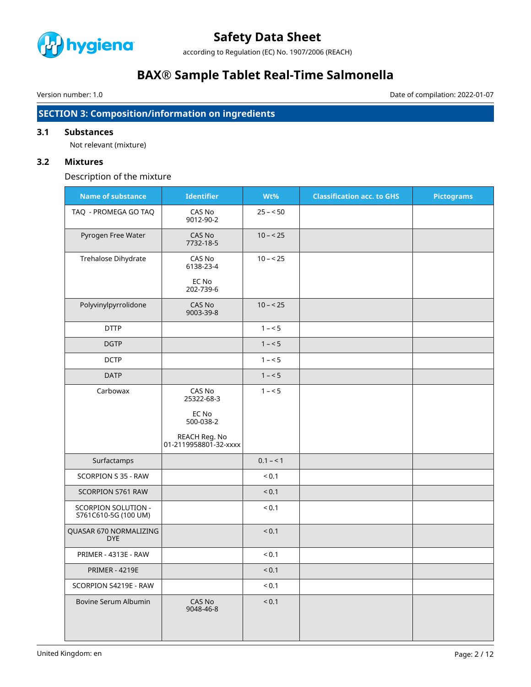

according to Regulation (EC) No. 1907/2006 (REACH)

# **BAX® Sample Tablet Real-Time Salmonella**

Version number: 1.0 Date of compilation: 2022-01-07

# **SECTION 3: Composition/information on ingredients**

# **3.1 Substances**

Not relevant (mixture)

# **3.2 Mixtures**

Description of the mixture

| <b>Name of substance</b>                           | <b>Identifier</b>                      | Wt%          | <b>Classification acc. to GHS</b> | <b>Pictograms</b> |
|----------------------------------------------------|----------------------------------------|--------------|-----------------------------------|-------------------|
| TAQ - PROMEGA GO TAQ                               | CAS No<br>9012-90-2                    | $25 - 50$    |                                   |                   |
| Pyrogen Free Water                                 | CAS No<br>7732-18-5                    | $10 - 25$    |                                   |                   |
| Trehalose Dihydrate                                | CAS No<br>6138-23-4                    | $10 - 25$    |                                   |                   |
|                                                    | EC No<br>202-739-6                     |              |                                   |                   |
| Polyvinylpyrrolidone                               | CAS No<br>9003-39-8                    | $10 - 25$    |                                   |                   |
| <b>DTTP</b>                                        |                                        | $1 - 5$      |                                   |                   |
| <b>DGTP</b>                                        |                                        | $1 - 5$      |                                   |                   |
| <b>DCTP</b>                                        |                                        | $1 - 5$      |                                   |                   |
| <b>DATP</b>                                        |                                        | $1 - 5$      |                                   |                   |
| Carbowax                                           | CAS No<br>25322-68-3                   | $1 - 5$      |                                   |                   |
|                                                    | EC No<br>500-038-2                     |              |                                   |                   |
|                                                    | REACH Reg. No<br>01-2119958801-32-xxxx |              |                                   |                   |
| Surfactamps                                        |                                        | $0.1 - 1$    |                                   |                   |
| SCORPION S 35 - RAW                                |                                        | < 0.1        |                                   |                   |
| SCORPION S761 RAW                                  |                                        | < 0.1        |                                   |                   |
| <b>SCORPION SOLUTION -</b><br>S761C610-5G (100 UM) |                                        | ${}_{0.1}$   |                                   |                   |
| QUASAR 670 NORMALIZING<br><b>DYE</b>               |                                        | ${}_{< 0.1}$ |                                   |                   |
| PRIMER - 4313E - RAW                               |                                        | ${}_{0.1}$   |                                   |                   |
| <b>PRIMER - 4219E</b>                              |                                        | < 0.1        |                                   |                   |
| SCORPION S4219E - RAW                              |                                        | ${}_{< 0.1}$ |                                   |                   |
| Bovine Serum Albumin                               | CAS No<br>9048-46-8                    | < 0.1        |                                   |                   |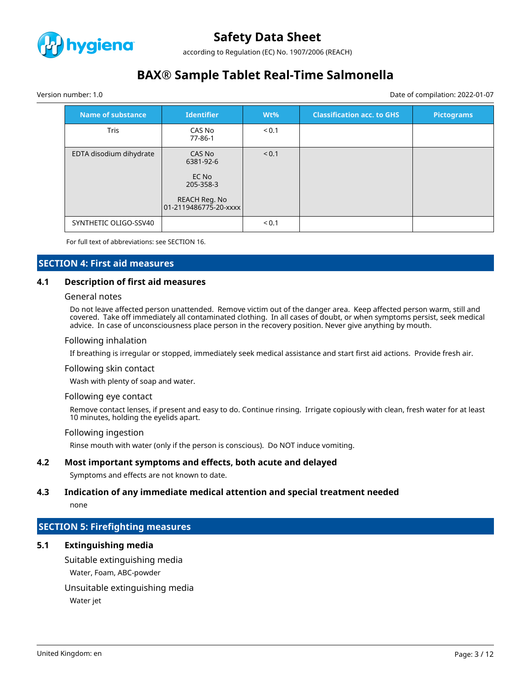

according to Regulation (EC) No. 1907/2006 (REACH)

# **BAX® Sample Tablet Real-Time Salmonella**

Version number: 1.0 Date of compilation: 2022-01-07

| Name of substance       | <b>Identifier</b>                                          | $Wt\%$     | <b>Classification acc. to GHS</b> | <b>Pictograms</b> |
|-------------------------|------------------------------------------------------------|------------|-----------------------------------|-------------------|
| <b>Tris</b>             | CAS No<br>77-86-1                                          | < 0.1      |                                   |                   |
| EDTA disodium dihydrate | CAS No<br>6381-92-6<br>EC No<br>205-358-3<br>REACH Reg. No | < 0.1      |                                   |                   |
| SYNTHETIC OLIGO-SSV40   |                                                            | ${}_{0.1}$ |                                   |                   |

For full text of abbreviations: see SECTION 16.

### **SECTION 4: First aid measures**

#### **4.1 Description of first aid measures**

#### General notes

Do not leave affected person unattended. Remove victim out of the danger area. Keep affected person warm, still and covered. Take off immediately all contaminated clothing. In all cases of doubt, or when symptoms persist, seek medical advice. In case of unconsciousness place person in the recovery position. Never give anything by mouth.

#### Following inhalation

If breathing is irregular or stopped, immediately seek medical assistance and start first aid actions. Provide fresh air.

#### Following skin contact

Wash with plenty of soap and water.

#### Following eye contact

Remove contact lenses, if present and easy to do. Continue rinsing. Irrigate copiously with clean, fresh water for at least 10 minutes, holding the eyelids apart.

#### Following ingestion

Rinse mouth with water (only if the person is conscious). Do NOT induce vomiting.

### **4.2 Most important symptoms and effects, both acute and delayed**

Symptoms and effects are not known to date.

#### **4.3 Indication of any immediate medical attention and special treatment needed**

none

# **SECTION 5: Firefighting measures**

# **5.1 Extinguishing media**

Suitable extinguishing media Water, Foam, ABC-powder

Unsuitable extinguishing media

Water jet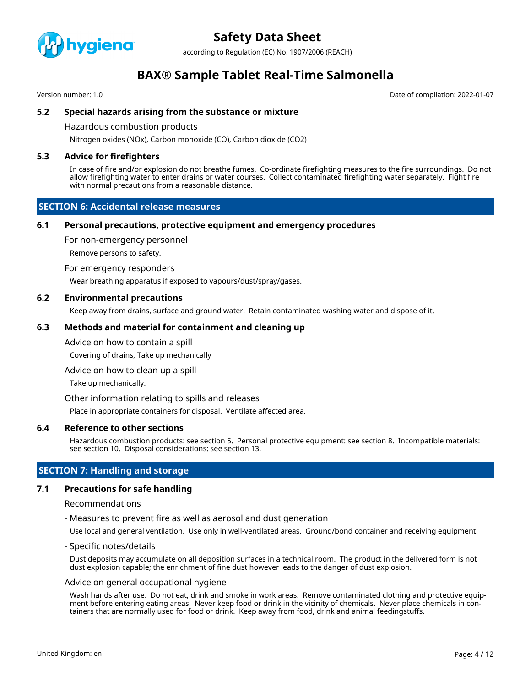

according to Regulation (EC) No. 1907/2006 (REACH)

# **BAX® Sample Tablet Real-Time Salmonella**

Version number: 1.0 Date of compilation: 2022-01-07

## **5.2 Special hazards arising from the substance or mixture**

Hazardous combustion products

Nitrogen oxides (NOx), Carbon monoxide (CO), Carbon dioxide (CO2)

### **5.3 Advice for firefighters**

In case of fire and/or explosion do not breathe fumes. Co-ordinate firefighting measures to the fire surroundings. Do not allow firefighting water to enter drains or water courses. Collect contaminated firefighting water separately. Fight fire with normal precautions from a reasonable distance.

## **SECTION 6: Accidental release measures**

#### **6.1 Personal precautions, protective equipment and emergency procedures**

For non-emergency personnel

Remove persons to safety.

#### For emergency responders

Wear breathing apparatus if exposed to vapours/dust/spray/gases.

#### **6.2 Environmental precautions**

Keep away from drains, surface and ground water. Retain contaminated washing water and dispose of it.

#### **6.3 Methods and material for containment and cleaning up**

#### Advice on how to contain a spill

Covering of drains, Take up mechanically

Advice on how to clean up a spill

Take up mechanically.

Other information relating to spills and releases

Place in appropriate containers for disposal. Ventilate affected area.

#### **6.4 Reference to other sections**

Hazardous combustion products: see section 5. Personal protective equipment: see section 8. Incompatible materials: see section 10. Disposal considerations: see section 13.

# **SECTION 7: Handling and storage**

#### **7.1 Precautions for safe handling**

#### Recommendations

- Measures to prevent fire as well as aerosol and dust generation

Use local and general ventilation. Use only in well-ventilated areas. Ground/bond container and receiving equipment.

- Specific notes/details

Dust deposits may accumulate on all deposition surfaces in a technical room. The product in the delivered form is not dust explosion capable; the enrichment of fine dust however leads to the danger of dust explosion.

#### Advice on general occupational hygiene

Wash hands after use. Do not eat, drink and smoke in work areas. Remove contaminated clothing and protective equipment before entering eating areas. Never keep food or drink in the vicinity of chemicals. Never place chemicals in containers that are normally used for food or drink. Keep away from food, drink and animal feedingstuffs.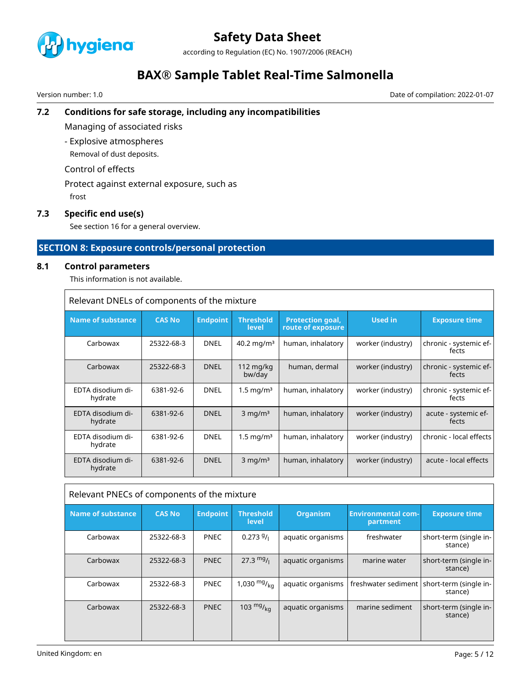

according to Regulation (EC) No. 1907/2006 (REACH)

# **BAX® Sample Tablet Real-Time Salmonella**

Version number: 1.0 Date of compilation: 2022-01-07

# **7.2 Conditions for safe storage, including any incompatibilities**

Managing of associated risks

- Explosive atmospheres

Removal of dust deposits.

Control of effects

Protect against external exposure, such as frost

# **7.3 Specific end use(s)**

See section 16 for a general overview.

# **SECTION 8: Exposure controls/personal protection**

### **8.1 Control parameters**

This information is not available.

|  | Relevant DNELs of components of the mixture |
|--|---------------------------------------------|
|--|---------------------------------------------|

| <b>Name of substance</b>     | <b>CAS No</b> | <b>Endpoint</b> | <b>Threshold</b><br>level     | <b>Protection goal,</b><br>route of exposure | <b>Used in</b>    | <b>Exposure time</b>            |
|------------------------------|---------------|-----------------|-------------------------------|----------------------------------------------|-------------------|---------------------------------|
| Carbowax                     | 25322-68-3    | <b>DNEL</b>     | 40.2 mg/m <sup>3</sup>        | human, inhalatory                            | worker (industry) | chronic - systemic ef-<br>fects |
| Carbowax                     | 25322-68-3    | <b>DNEL</b>     | $112 \text{ mg/kg}$<br>bw/day | human, dermal                                | worker (industry) | chronic - systemic ef-<br>fects |
| EDTA disodium di-<br>hydrate | 6381-92-6     | <b>DNEL</b>     | $1.5 \text{ mg/m}^3$          | human, inhalatory                            | worker (industry) | chronic - systemic ef-<br>fects |
| EDTA disodium di-<br>hydrate | 6381-92-6     | <b>DNEL</b>     | $3 \text{ mg/m}^3$            | human, inhalatory                            | worker (industry) | acute - systemic ef-<br>fects   |
| EDTA disodium di-<br>hydrate | 6381-92-6     | <b>DNEL</b>     | 1.5 mg/m <sup>3</sup>         | human, inhalatory                            | worker (industry) | chronic - local effects         |
| EDTA disodium di-<br>hydrate | 6381-92-6     | <b>DNEL</b>     | $3 \text{ mg/m}^3$            | human, inhalatory                            | worker (industry) | acute - local effects           |

| Relevant PNECs of components of the mixture |               |                 |                           |                   |                                       |                                                         |
|---------------------------------------------|---------------|-----------------|---------------------------|-------------------|---------------------------------------|---------------------------------------------------------|
| <b>Name of substance</b>                    | <b>CAS No</b> | <b>Endpoint</b> | <b>Threshold</b><br>level | <b>Organism</b>   | <b>Environmental com-</b><br>partment | <b>Exposure time</b>                                    |
| Carbowax                                    | 25322-68-3    | <b>PNEC</b>     | 0.2739/                   | aquatic organisms | freshwater                            | short-term (single in-<br>stance)                       |
| Carbowax                                    | 25322-68-3    | <b>PNEC</b>     | $27.3 \text{ mg}$ /       | aquatic organisms | marine water                          | short-term (single in-<br>stance)                       |
| Carbowax                                    | 25322-68-3    | <b>PNEC</b>     | 1,030 $mg/_{kq}$          | aquatic organisms |                                       | freshwater sediment   short-term (single in-<br>stance) |
| Carbowax                                    | 25322-68-3    | <b>PNEC</b>     | 103 $mg/kq$               | aquatic organisms | marine sediment                       | short-term (single in-<br>stance)                       |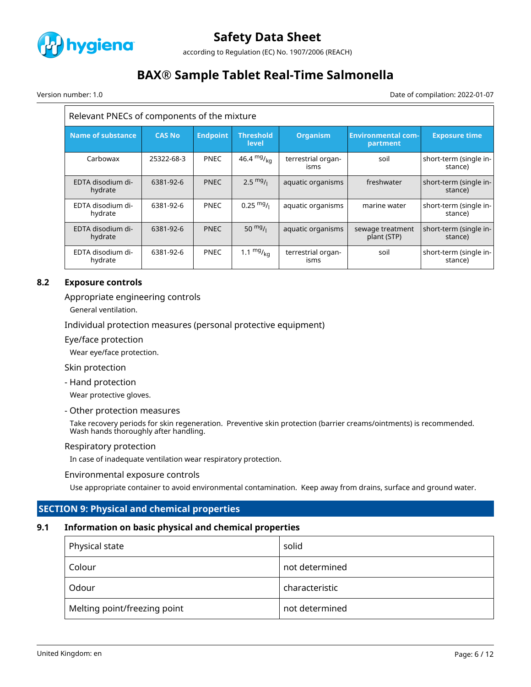

according to Regulation (EC) No. 1907/2006 (REACH)

# **BAX® Sample Tablet Real-Time Salmonella**

Version number: 1.0 Date of compilation: 2022-01-07

| Relevant PNECs of components of the mixture |               |                 |                           |                            |                                       |                                   |
|---------------------------------------------|---------------|-----------------|---------------------------|----------------------------|---------------------------------------|-----------------------------------|
| <b>Name of substance</b>                    | <b>CAS No</b> | <b>Endpoint</b> | <b>Threshold</b><br>level | <b>Organism</b>            | <b>Environmental com-</b><br>partment | <b>Exposure time</b>              |
| Carbowax                                    | 25322-68-3    | <b>PNEC</b>     | 46.4 $mg/kq$              | terrestrial organ-<br>isms | soil                                  | short-term (single in-<br>stance) |
| EDTA disodium di-<br>hydrate                | 6381-92-6     | <b>PNEC</b>     | $2.5 \frac{mg}{l}$        | aquatic organisms          | freshwater                            | short-term (single in-<br>stance) |
| EDTA disodium di-<br>hydrate                | 6381-92-6     | <b>PNEC</b>     | $0.25 \text{ mg}$ /       | aquatic organisms          | marine water                          | short-term (single in-<br>stance) |
| EDTA disodium di-<br>hydrate                | 6381-92-6     | <b>PNEC</b>     | 50 $mg/1$                 | aquatic organisms          | sewage treatment<br>plant (STP)       | short-term (single in-<br>stance) |
| EDTA disodium di-<br>hydrate                | 6381-92-6     | <b>PNEC</b>     | 1.1 $mg/_{kq}$            | terrestrial organ-<br>isms | soil                                  | short-term (single in-<br>stance) |

# **8.2 Exposure controls**

Appropriate engineering controls

General ventilation.

Individual protection measures (personal protective equipment)

Eye/face protection

Wear eye/face protection.

Skin protection

- Hand protection

Wear protective gloves.

- Other protection measures

Take recovery periods for skin regeneration. Preventive skin protection (barrier creams/ointments) is recommended. Wash hands thoroughly after handling.

### Respiratory protection

In case of inadequate ventilation wear respiratory protection.

### Environmental exposure controls

Use appropriate container to avoid environmental contamination. Keep away from drains, surface and ground water.

# **SECTION 9: Physical and chemical properties**

# **9.1 Information on basic physical and chemical properties**

| Physical state               | solid          |
|------------------------------|----------------|
| . Colour                     | not determined |
| Odour                        | characteristic |
| Melting point/freezing point | not determined |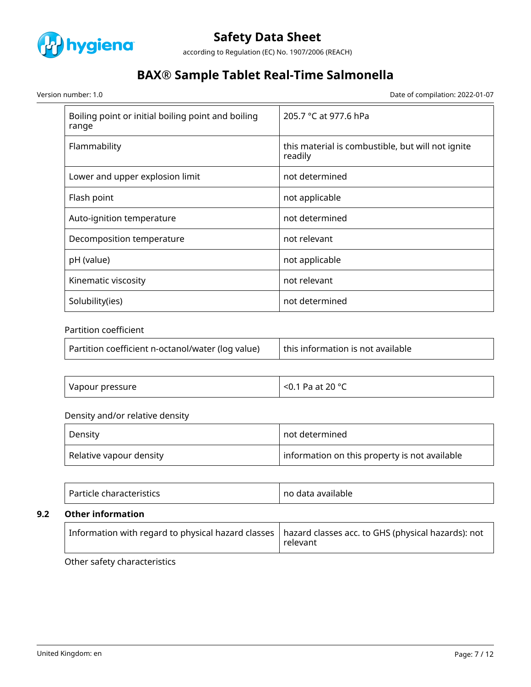

according to Regulation (EC) No. 1907/2006 (REACH)

# **BAX® Sample Tablet Real-Time Salmonella**

Version number: 1.0 Date of compilation: 2022-01-07

| Boiling point or initial boiling point and boiling<br>range | 205.7 °C at 977.6 hPa                                        |
|-------------------------------------------------------------|--------------------------------------------------------------|
| Flammability                                                | this material is combustible, but will not ignite<br>readily |
| Lower and upper explosion limit                             | not determined                                               |
| Flash point                                                 | not applicable                                               |
| Auto-ignition temperature                                   | not determined                                               |
| Decomposition temperature                                   | not relevant                                                 |
| pH (value)                                                  | not applicable                                               |
| Kinematic viscosity                                         | not relevant                                                 |
| Solubility(ies)                                             | not determined                                               |

# Partition coefficient

| Partition coefficient n-octanol/water (log value) | this information is not available |
|---------------------------------------------------|-----------------------------------|
|---------------------------------------------------|-----------------------------------|

| <sup>.</sup> pressure<br>.<br>vapour .<br>----- | 20°C<br>D-0<br>$\overline{\phantom{a}}$<br>$-+$<br>Ν.<br>$\sim$<br>$\sim$<br>- - |
|-------------------------------------------------|----------------------------------------------------------------------------------|
|-------------------------------------------------|----------------------------------------------------------------------------------|

# Density and/or relative density

| Density                 | not determined                                |
|-------------------------|-----------------------------------------------|
| Relative vapour density | information on this property is not available |

| ⊺ Par.<br>ah axaataxiatisa<br>p characteristics i<br>TICIP . | no<br>o data available |
|--------------------------------------------------------------|------------------------|
|--------------------------------------------------------------|------------------------|

## **9.2 Other information**

|  | $^\dagger$ Information with regard to physical hazard classes $\, \vert$ hazard classes acc. to GHS (physical hazards): not<br>relevant |
|--|-----------------------------------------------------------------------------------------------------------------------------------------|
|--|-----------------------------------------------------------------------------------------------------------------------------------------|

Other safety characteristics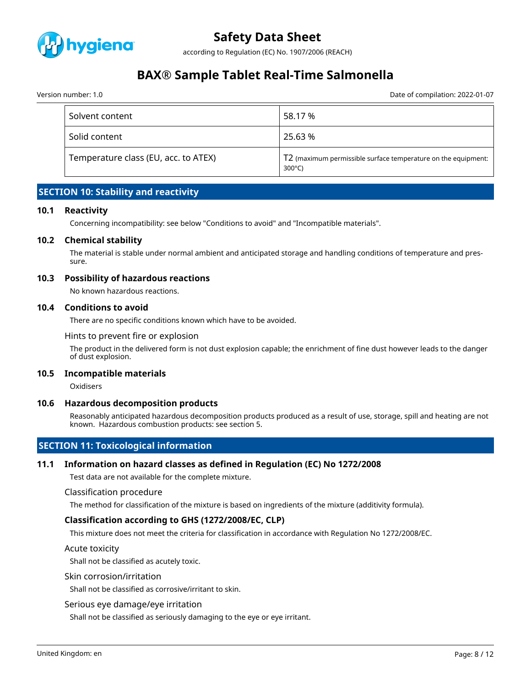

according to Regulation (EC) No. 1907/2006 (REACH)

# **BAX® Sample Tablet Real-Time Salmonella**

Version number: 1.0 Date of compilation: 2022-01-07

| Solvent content                      | 58.17 %                                                                           |
|--------------------------------------|-----------------------------------------------------------------------------------|
| Solid content                        | 25.63 %                                                                           |
| Temperature class (EU, acc. to ATEX) | T2 (maximum permissible surface temperature on the equipment:<br>$300^{\circ}$ C) |

# **SECTION 10: Stability and reactivity**

#### **10.1 Reactivity**

Concerning incompatibility: see below "Conditions to avoid" and "Incompatible materials".

#### **10.2 Chemical stability**

The material is stable under normal ambient and anticipated storage and handling conditions of temperature and pressure.

#### **10.3 Possibility of hazardous reactions**

No known hazardous reactions.

#### **10.4 Conditions to avoid**

There are no specific conditions known which have to be avoided.

Hints to prevent fire or explosion

The product in the delivered form is not dust explosion capable; the enrichment of fine dust however leads to the danger of dust explosion.

#### **10.5 Incompatible materials**

**Oxidisers** 

#### **10.6 Hazardous decomposition products**

Reasonably anticipated hazardous decomposition products produced as a result of use, storage, spill and heating are not known. Hazardous combustion products: see section 5.

# **SECTION 11: Toxicological information**

### **11.1 Information on hazard classes as defined in Regulation (EC) No 1272/2008**

Test data are not available for the complete mixture.

#### Classification procedure

The method for classification of the mixture is based on ingredients of the mixture (additivity formula).

### **Classification according to GHS (1272/2008/EC, CLP)**

This mixture does not meet the criteria for classification in accordance with Regulation No 1272/2008/EC.

#### Acute toxicity

Shall not be classified as acutely toxic.

#### Skin corrosion/irritation

Shall not be classified as corrosive/irritant to skin.

#### Serious eye damage/eye irritation

Shall not be classified as seriously damaging to the eye or eye irritant.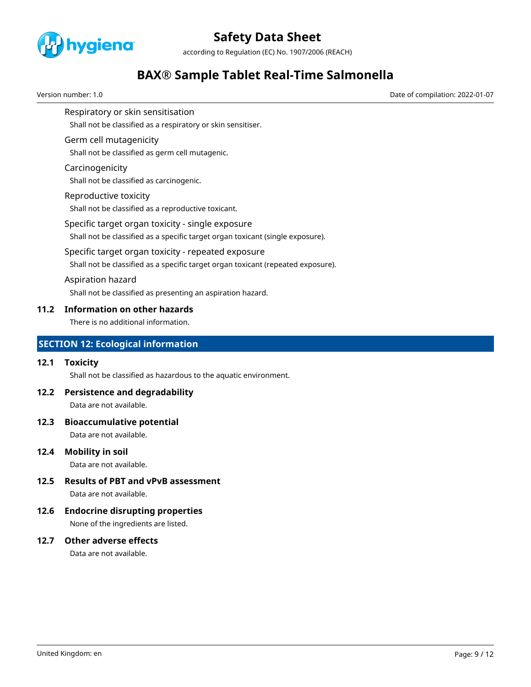

according to Regulation (EC) No. 1907/2006 (REACH)

# **BAX® Sample Tablet Real-Time Salmonella**

Version number: 1.0 Date of compilation: 2022-01-07

Respiratory or skin sensitisation

Shall not be classified as a respiratory or skin sensitiser.

## Germ cell mutagenicity

Shall not be classified as germ cell mutagenic.

### Carcinogenicity

Shall not be classified as carcinogenic.

### Reproductive toxicity

Shall not be classified as a reproductive toxicant.

### Specific target organ toxicity - single exposure

Shall not be classified as a specific target organ toxicant (single exposure).

### Specific target organ toxicity - repeated exposure

Shall not be classified as a specific target organ toxicant (repeated exposure).

### Aspiration hazard

Shall not be classified as presenting an aspiration hazard.

## **11.2 Information on other hazards**

There is no additional information.

# **SECTION 12: Ecological information**

# **12.1 Toxicity**

Shall not be classified as hazardous to the aquatic environment.

# **12.2 Persistence and degradability**

Data are not available.

### **12.3 Bioaccumulative potential**

Data are not available.

### **12.4 Mobility in soil**

Data are not available.

# **12.5 Results of PBT and vPvB assessment**

Data are not available.

# **12.6 Endocrine disrupting properties**

None of the ingredients are listed.

# **12.7 Other adverse effects**

Data are not available.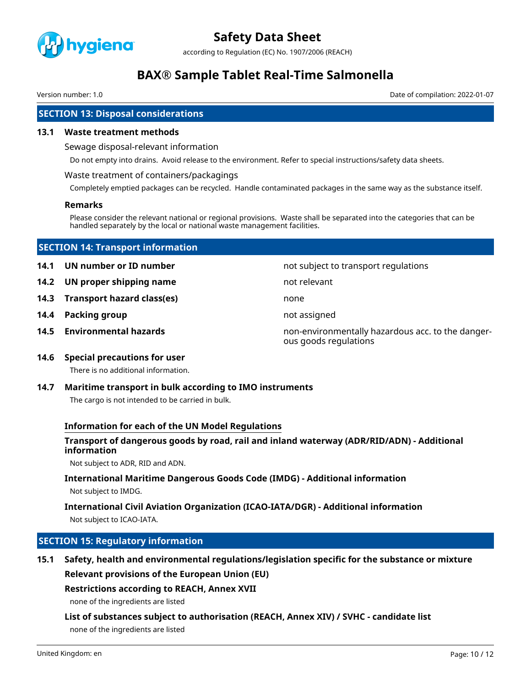

according to Regulation (EC) No. 1907/2006 (REACH)

# **BAX® Sample Tablet Real-Time Salmonella**

Version number: 1.0 Date of compilation: 2022-01-07

# **SECTION 13: Disposal considerations**

### **13.1 Waste treatment methods**

Sewage disposal-relevant information

Do not empty into drains. Avoid release to the environment. Refer to special instructions/safety data sheets.

#### Waste treatment of containers/packagings

Completely emptied packages can be recycled. Handle contaminated packages in the same way as the substance itself.

#### **Remarks**

Please consider the relevant national or regional provisions. Waste shall be separated into the categories that can be handled separately by the local or national waste management facilities.

## **SECTION 14: Transport information**

**14.1 UN number or ID number not subject to transport regulations** 

- **14.2 UN proper shipping name** not relevant
- **14.3 Transport hazard class(es)** none
- **14.4 Packing group not assigned**
- 

**14.5 Environmental hazards** non-environmentally hazardous acc. to the dangerous goods regulations

### **14.6 Special precautions for user**

There is no additional information.

# **14.7 Maritime transport in bulk according to IMO instruments**

The cargo is not intended to be carried in bulk.

### **Information for each of the UN Model Regulations**

## **Transport of dangerous goods by road, rail and inland waterway (ADR/RID/ADN) - Additional information**

Not subject to ADR, RID and ADN.

# **International Maritime Dangerous Goods Code (IMDG) - Additional information**

Not subject to IMDG.

# **International Civil Aviation Organization (ICAO-IATA/DGR) - Additional information** Not subject to ICAO-IATA.

# **SECTION 15: Regulatory information**

**15.1 Safety, health and environmental regulations/legislation specific for the substance or mixture Relevant provisions of the European Union (EU)**

# **Restrictions according to REACH, Annex XVII**

none of the ingredients are listed

# **List of substances subject to authorisation (REACH, Annex XIV) / SVHC - candidate list**

none of the ingredients are listed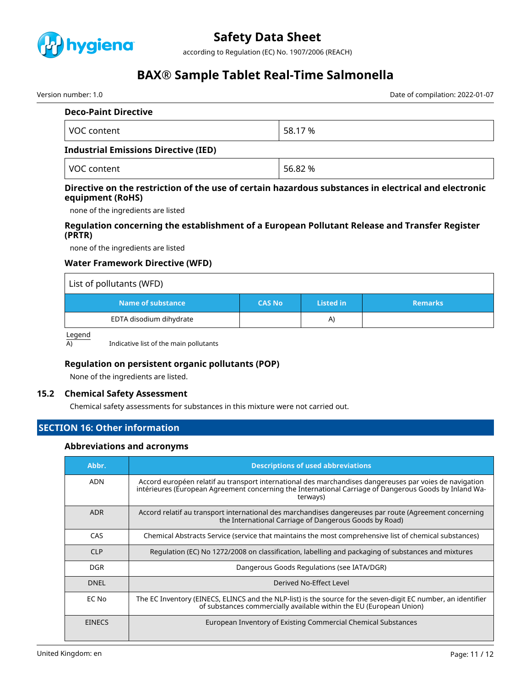

according to Regulation (EC) No. 1907/2006 (REACH)

# **BAX® Sample Tablet Real-Time Salmonella**

Version number: 1.0 Date of compilation: 2022-01-07

| <b>Deco-Paint Directive</b>          |         |
|--------------------------------------|---------|
| VOC content                          | 58.17 % |
| Inductival Emiccians Diroctive (IED) |         |

### **Industrial Emissions Directive (IED)**

VOC content  $\vert$  56.82 %

### **Directive on the restriction of the use of certain hazardous substances in electrical and electronic equipment (RoHS)**

none of the ingredients are listed

## **Regulation concerning the establishment of a European Pollutant Release and Transfer Register (PRTR)**

none of the ingredients are listed

## **Water Framework Directive (WFD)**

| List of pollutants (WFD) |               |           |                |
|--------------------------|---------------|-----------|----------------|
| Name of substance        | <b>CAS No</b> | Listed in | <b>Remarks</b> |
| EDTA disodium dihydrate  |               | A)        |                |

Legend

 $\overline{A}$  Indicative list of the main pollutants

# **Regulation on persistent organic pollutants (POP)**

None of the ingredients are listed.

### **15.2 Chemical Safety Assessment**

Chemical safety assessments for substances in this mixture were not carried out.

# **SECTION 16: Other information**

#### **Abbreviations and acronyms**

| Abbr.         | <b>Descriptions of used abbreviations</b>                                                                                                                                                                                     |
|---------------|-------------------------------------------------------------------------------------------------------------------------------------------------------------------------------------------------------------------------------|
| <b>ADN</b>    | Accord européen relatif au transport international des marchandises dangereuses par voies de navigation<br>intérieures (European Agreement concerning the International Carriage of Dangerous Goods by Inland Wa-<br>terways) |
| <b>ADR</b>    | Accord relatif au transport international des marchandises dangereuses par route (Agreement concerning<br>the International Carriage of Dangerous Goods by Road)                                                              |
| CAS           | Chemical Abstracts Service (service that maintains the most comprehensive list of chemical substances)                                                                                                                        |
| <b>CLP</b>    | Regulation (EC) No 1272/2008 on classification, labelling and packaging of substances and mixtures                                                                                                                            |
| DGR.          | Dangerous Goods Regulations (see IATA/DGR)                                                                                                                                                                                    |
| <b>DNEL</b>   | Derived No-Effect Level                                                                                                                                                                                                       |
| EC No         | The EC Inventory (EINECS, ELINCS and the NLP-list) is the source for the seven-digit EC number, an identifier<br>of substances commercially available within the EU (European Union)                                          |
| <b>EINECS</b> | European Inventory of Existing Commercial Chemical Substances                                                                                                                                                                 |